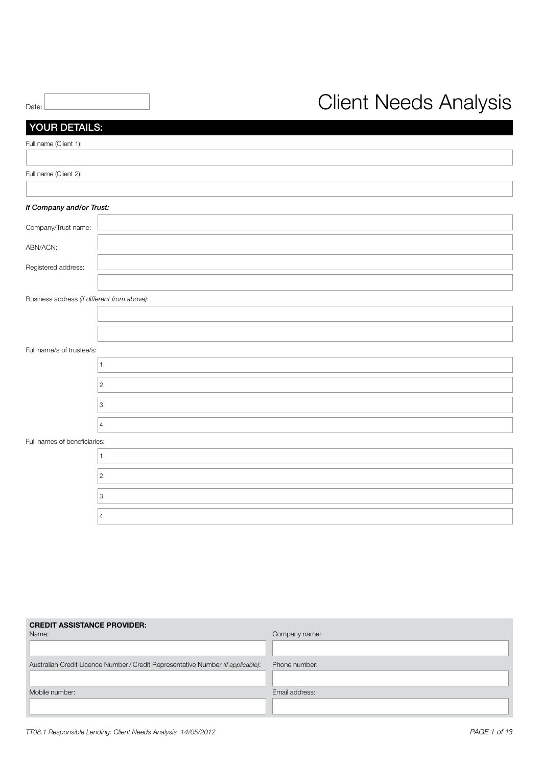|       | <b>Client Needs Analysis</b> |
|-------|------------------------------|
| Date: |                              |

| YOUR DETAILS:                               |    |
|---------------------------------------------|----|
| Full name (Client 1):                       |    |
|                                             |    |
| Full name (Client 2):                       |    |
|                                             |    |
| If Company and/or Trust:                    |    |
| Company/Trust name:                         |    |
| ABN/ACN:                                    |    |
| Registered address:                         |    |
|                                             |    |
| Business address (if different from above): |    |
|                                             |    |
|                                             |    |
| Full name/s of trustee/s:                   |    |
|                                             | 1. |
|                                             | 2. |
|                                             | 3. |
|                                             | 4. |
| Full names of beneficiaries:                |    |
|                                             | 1. |
|                                             | 2. |
|                                             | 3. |
|                                             | 4. |

| <b>CREDIT ASSISTANCE PROVIDER:</b>                                               |                |
|----------------------------------------------------------------------------------|----------------|
| Name:                                                                            | Company name:  |
|                                                                                  |                |
| Australian Credit Licence Number / Credit Representative Number (if applicable): | Phone number:  |
|                                                                                  |                |
| Mobile number:                                                                   | Email address: |
|                                                                                  |                |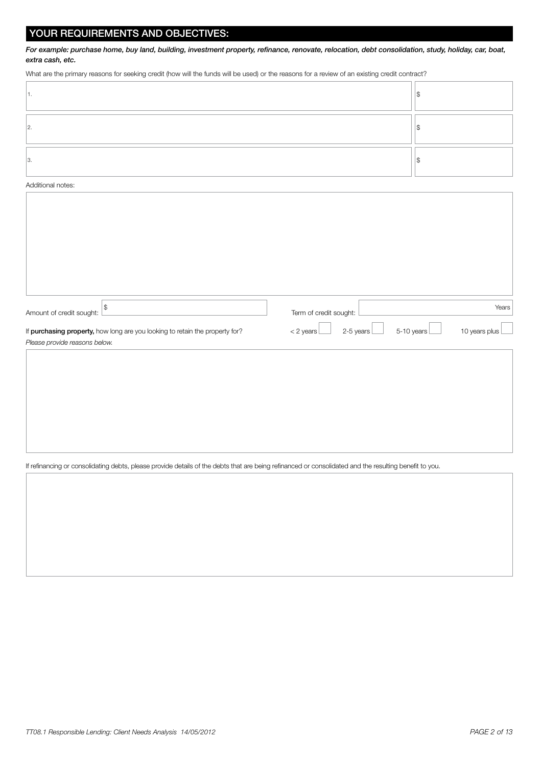# YOUR REQUIREMENTS AND OBJECTIVES:

*For example: purchase home, buy land, building, investment property, refinance, renovate, relocation, debt consolidation, study, holiday, car, boat, extra cash, etc.*

What are the primary reasons for seeking credit (how will the funds will be used) or the reasons for a review of an existing credit contract?

#### Additional notes:

| $\frac{1}{2}$<br>Amount of credit sought:                                                                     | Term of credit sought:   | Years                       |
|---------------------------------------------------------------------------------------------------------------|--------------------------|-----------------------------|
| If purchasing property, how long are you looking to retain the property for?<br>Please provide reasons below. | 2-5 years<br>$<$ 2 years | 5-10 years<br>10 years plus |
|                                                                                                               |                          |                             |
|                                                                                                               |                          |                             |
|                                                                                                               |                          |                             |
|                                                                                                               |                          |                             |

#### If refinancing or consolidating debts, please provide details of the debts that are being refinanced or consolidated and the resulting benefit to you.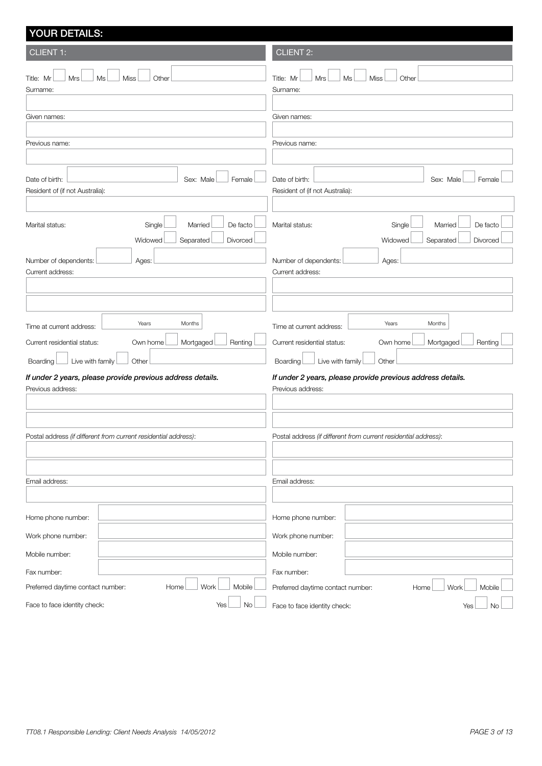# YOUR DETAILS: CLIENT 1:  $\text{Title:}$   $\text{Mr}$   $\Box$   $\text{Mrs}$   $\Box$   $\text{Ms}$   $\Box$   $\text{Othe}$ Surname: Given names: Previous name: Date of birth: Sex: Male Female Resident of (if not Australia): Marital status: Single Married De facto Widowed Separated Divorced Number of dependents: Ages: Current address: Time at current address: <u>Years</u> Months Current residential status: Cwn home Mortgaged Renting Boarding Live with family Cther *If under 2 years, please provide previous address details.* Previous address: Postal address *(if different from current residential address)*: Email address: Home phone number: Work phone number: Mobile number: Fax number: Preferred daytime contact number: 
Home  $\Box$  Work  $\Box$  Mobile Face to face identity check: Yes No CLIENT 2:  $\text{Title: Mr}$   $\blacksquare$  Mrs  $\blacksquare$  Ms  $\blacksquare$  Miss Other Surname: Given names: Previous name: Date of birth: Sex: Male Female Resident of (if not Australia): Marital status: Single Married De facto Widowed Separated Divorced Number of dependents: Ages: Current address: Time at current address: <u>Years</u> Months Current residential status: Cwn home Mortgaged Renting Boarding Luive with family Cher *If under 2 years, please provide previous address details.* Previous address: Postal address *(if different from current residential address)*: Email address: Home phone number: Work phone number: Mobile number: Fax number: Preferred daytime contact number: Home Work Mobile Face to face identity check: Yes No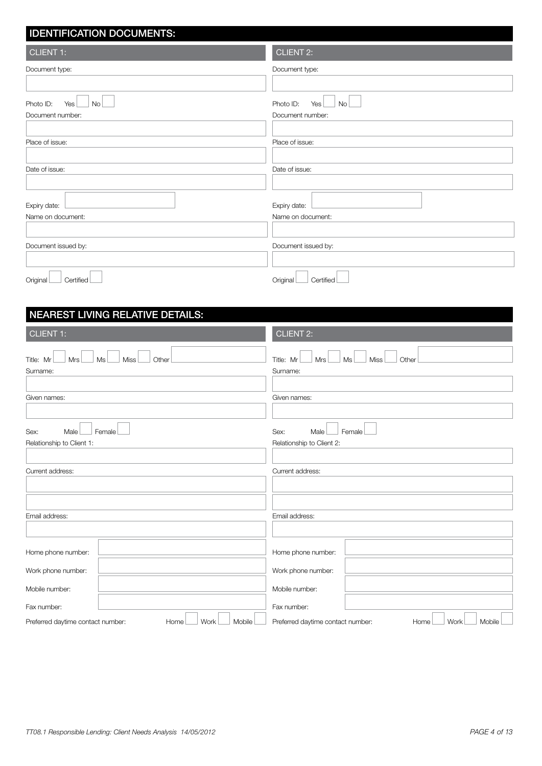| <b>IDENTIFICATION DOCUMENTS:</b>                                  |                                                                   |
|-------------------------------------------------------------------|-------------------------------------------------------------------|
| <b>CLIENT 1:</b>                                                  | <b>CLIENT 2:</b>                                                  |
| Document type:                                                    | Document type:                                                    |
|                                                                   |                                                                   |
| Photo ID:<br>No<br>Yes<br>Document number:                        | Photo ID:<br><b>No</b><br>Yes<br>Document number:                 |
| Place of issue:                                                   | Place of issue:                                                   |
| Date of issue:                                                    | Date of issue:                                                    |
| Expiry date:<br>Name on document:                                 | Expiry date:<br>Name on document:                                 |
| Document issued by:                                               | Document issued by:                                               |
| Certified<br>Original                                             | Original<br>Certified                                             |
| <b>NEAREST LIVING RELATIVE DETAILS:</b>                           |                                                                   |
| <b>CLIENT 1:</b>                                                  | CLIENT <sub>2:</sub>                                              |
| <b>Mrs</b><br><b>Miss</b><br>Title: Mr<br>Ms<br>Other<br>Surname: | Title: Mr<br><b>Mrs</b><br>Ms<br><b>Miss</b><br>Other<br>Surname: |
| Given names:                                                      | Given names:                                                      |
| Sex:<br>Male Female<br>Relationship to Client 1:                  | Sex:<br>Male Female<br>Relationship to Client 2:                  |
| Current address:                                                  | Current address:                                                  |
|                                                                   |                                                                   |
|                                                                   |                                                                   |
| Email address:                                                    | Email address:                                                    |
| Home phone number:                                                | Home phone number:                                                |
| Work phone number:                                                | Work phone number:                                                |
| Mobile number:                                                    | Mobile number:                                                    |
| Fax number:                                                       | Fax number:                                                       |
| Work<br>Mobile<br>Preferred daytime contact number:<br>Home       | Preferred daytime contact number:<br>Work<br>Mobile<br>Home       |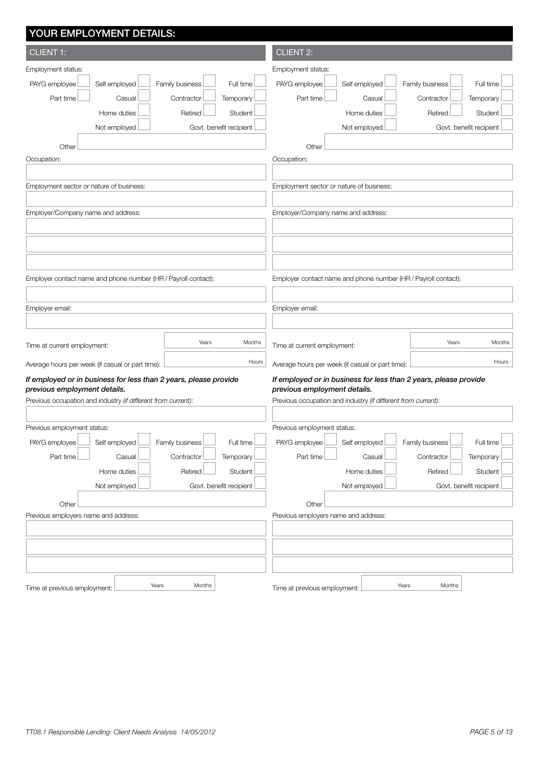| YOUR EMPLOYMENT DETAILS:                                         |                                                                  |
|------------------------------------------------------------------|------------------------------------------------------------------|
| <b>CLIENT 1:</b>                                                 | <b>CLIENT 2:</b>                                                 |
| Employment status:                                               | Employment status:                                               |
| PAYG employee<br>Self employed<br>Family business<br>Full time   | PAYG employee<br>Self employed<br>Family business<br>Full time   |
| Part time<br>Contractor<br>Temporary<br>Casual                   | Part time<br>Temporary<br>Casual<br>Contractor                   |
| Home duties<br>Student<br>Retired                                | Home duties<br>Retired<br>Student                                |
| Not employed<br>Govt. benefit recipient                          | Not employed<br>Govt. benefit recipient                          |
| Other                                                            | Other                                                            |
| Occupation:                                                      | Occupation:                                                      |
|                                                                  |                                                                  |
| Employment sector or nature of business:                         | Employment sector or nature of business:                         |
|                                                                  |                                                                  |
| Employer/Company name and address:                               | Employer/Company name and address:                               |
|                                                                  |                                                                  |
|                                                                  |                                                                  |
|                                                                  |                                                                  |
| Employer contact name and phone number (HR / Payroll contact):   | Employer contact name and phone number (HR / Payroll contact):   |
|                                                                  |                                                                  |
| Employer email:                                                  | Employer email:                                                  |
|                                                                  |                                                                  |
| Years<br>Months<br>Time at current employment:                   | Years<br>Months<br>Time at current employment:                   |
| Hours<br>Average hours per week (if casual or part time):        | Hours<br>Average hours per week (if casual or part time):        |
| If employed or in business for less than 2 years, please provide | If employed or in business for less than 2 years, please provide |
| previous employment details.                                     | previous employment details.                                     |
| Previous occupation and industry (if different from current):    | Previous occupation and industry (if different from current):    |
|                                                                  |                                                                  |
| Previous employment status:                                      | Previous employment status:                                      |
| PAYG employee<br>Self employed<br>Family business<br>Full time   | PAYG employee<br>Self employed<br>Family business<br>Full time   |
| Part time<br>Casual<br>Contractor<br>Temporary                   | Part time<br>Casual<br>Contractor<br>Temporary                   |
| Home duties<br>Student<br>Retired                                | Home duties<br>Retired<br>Student                                |
| Not employed<br>Govt. benefit recipient                          | Not employed<br>Govt. benefit recipient                          |
| Other                                                            | Other                                                            |
| Previous employers name and address:                             | Previous employers name and address:                             |
|                                                                  |                                                                  |
|                                                                  |                                                                  |
|                                                                  |                                                                  |
| Years<br>Months<br>Time at previous employment:                  | Years<br>Months<br>Time at previous employment:                  |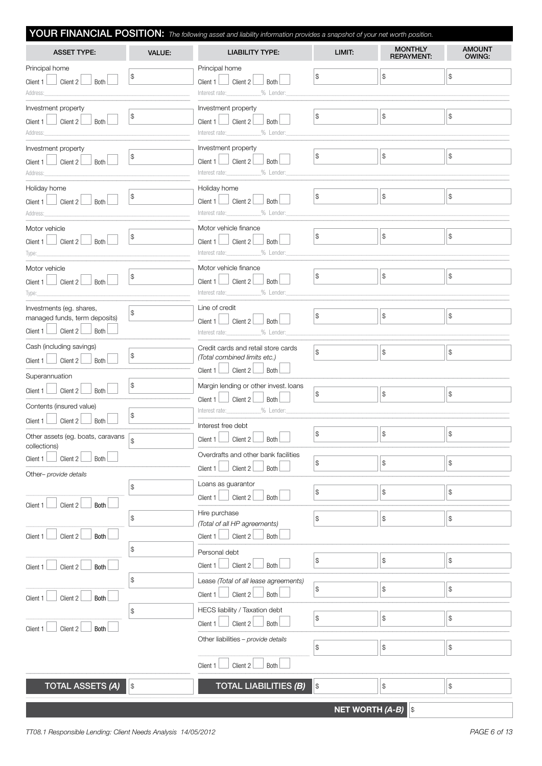|                                                                                                   |                                                   | YOUR FINANCIAL POSITION: The following asset and liability information provides a snapshot of your net worth position. |                                                   |                                                   |                                                 |
|---------------------------------------------------------------------------------------------------|---------------------------------------------------|------------------------------------------------------------------------------------------------------------------------|---------------------------------------------------|---------------------------------------------------|-------------------------------------------------|
| <b>ASSET TYPE:</b>                                                                                | <b>VALUE:</b>                                     | <b>LIABILITY TYPE:</b>                                                                                                 | LIMIT:                                            | <b>MONTHLY</b><br><b>REPAYMENT:</b>               | <b>AMOUNT</b><br><b>OWING:</b>                  |
| Principal home<br>Client $2\perp$<br>Both<br>Client 1<br>Address:                                 | \$                                                | Principal home<br>Client $1$   Client $2$  <br>Both<br>Interest rate: 9% Lender:                                       | \$                                                | $\mathcal{L}$                                     | \$                                              |
| Investment property<br>Client 2<br>Both<br>Client 1<br>Address:                                   | \$                                                | Investment property<br>Client 2<br>Client $1$<br>Both<br>Interest rate:____________<br>_% Lender:                      | $\frac{1}{2}$                                     | $\, \, \raisebox{-1.5pt}{\text{\circle*{1.5}}}\,$ | \$                                              |
| Investment property<br>Client 2<br>Both<br>Client 1<br>Address:                                   | \$                                                | Investment property<br>Client $1$   Client $2$  <br><b>Both</b>                                                        | \$                                                | $\frac{1}{2}$                                     | \$                                              |
| Holiday home<br>Client 2<br>Both<br>Client 1<br>Address:                                          | \$                                                | Holiday home<br>$\Box$ Client 2<br>Client $1 \perp$<br>Both<br>Interest rate: % Lender:                                | \$                                                | $\, \, \raisebox{-1.5pt}{\text{\circle*{1.5}}}\,$ | $$\mathbb{S}$$                                  |
| Motor vehicle<br>Client 2<br><b>Both</b><br>Client 1<br>Type:                                     | \$                                                | Motor vehicle finance<br>Client $2 \Box$<br>Both<br>Client $1 \Box$<br>_% Lender:                                      | $\frac{1}{2}$                                     | $\, \, \raisebox{-1.5pt}{\text{\circle*{1.5}}}\,$ | \$                                              |
| Motor vehicle<br>Client 2<br>Client $1$<br>Both<br>Type:                                          | \$                                                | Motor vehicle finance<br>$\perp$ Client 2<br>Both<br>Client $1 \Box$                                                   | \$                                                | $$\mathbb{S}$$                                    | \$                                              |
| Investments (eg. shares,<br>managed funds, term deposits)<br>Client 1 $\Box$ Client 2 $\Box$ Both | \$                                                | Line of credit<br>Client $1$ $\Box$ Client $2$<br><b>Both</b><br>Interest rate: 2% Lender:                             | \$                                                | $\mathbb{S}$                                      | $$\mathbb{S}$$                                  |
| Cash (including savings)<br>Client $2\perp$<br>Both<br>Client 1                                   | $\, \, \raisebox{-1.5pt}{\text{\circle*{1.5}}}\,$ | Credit cards and retail store cards<br>(Total combined limits etc.)<br>$\Box$ Client 2<br>Both<br>Client $1 \perp$     | \$                                                | $\mathcal{L}$                                     | $\$$                                            |
| Superannuation<br>Client $2 \Box$ Both<br>Client 1<br>Contents (insured value)                    | $\, \, \raisebox{12pt}{$\scriptstyle \circ$}$     | Margin lending or other invest. loans<br>Client $1$ $\Box$ Client $2$ $\Box$<br>Both                                   | \$                                                | $\mathcal{L}$                                     | \$                                              |
| Client $2^{\lfloor}$<br>Both<br>Client 1<br>Other assets (eg. boats, caravans<br>collections)     | \$                                                | Interest free debt<br>Client 1 $\Box$ Client 2 $\Box$ Both $\Box$                                                      | \$                                                | $\mathcal{L}$                                     | \$                                              |
| Client 2<br><b>Both</b><br>Client 1<br>Other- provide details                                     |                                                   | Overdrafts and other bank facilities<br>Client 2<br>Both<br>Client $1$<br>Loans as guarantor                           | $\, \, \raisebox{12pt}{$\scriptstyle \$}$         | $\, \, \raisebox{-1.5pt}{\text{\circle*{1.5}}}\,$ | \$                                              |
| Client 2<br>Both<br>Client 1                                                                      | \$<br>\$                                          | Client 2<br>Both<br>Client 1<br>Hire purchase                                                                          | \$<br>\$                                          | $$\mathbb{S}$$<br>$$\mathbb{S}$$                  | \$<br>\$                                        |
| Both<br>Client 2<br>Client 1                                                                      | $\, \, \raisebox{12pt}{$\scriptstyle \circ$}$     | (Total of all HP agreements)<br>Client 2<br>Client 1<br>Both<br>Personal debt                                          |                                                   |                                                   |                                                 |
| Client 2<br>Both<br>Client 1                                                                      |                                                   | Client 2<br>Client $1$<br>Both                                                                                         | $\, \, \raisebox{-1.5pt}{\text{\circle*{1.5}}}\,$ | $\, \, \raisebox{-1.5pt}{\text{\circle*{1.5}}}\,$ | $\, \, \raisebox{10pt}{\text{\circle*{1.5}}}\,$ |
| Client 2<br>Client 1<br>Both                                                                      | \$                                                | Lease (Total of all lease agreements)<br>Client 2<br>Both<br>Client 1                                                  | \$                                                | $\mathcal{L}$                                     | \$                                              |
| Client 2<br>Both<br>Client 1                                                                      | \$                                                | HECS liability / Taxation debt<br>Client 2<br>Both<br>Client 1                                                         | \$                                                | $$\mathbb{S}$$                                    | \$                                              |
|                                                                                                   |                                                   | Other liabilities - provide details<br>Client 2<br>Both<br>Client 1                                                    | \$                                                | $\, \, \raisebox{-1.5pt}{\text{\circle*{1.5}}}\,$ | $\, \, \raisebox{12pt}{$\scriptstyle \circ$}$   |
| <b>TOTAL ASSETS (A)</b>                                                                           | $\vert \mathfrak{s}$                              | <b>TOTAL LIABILITIES (B)</b>                                                                                           | $\, \, \raisebox{12pt}{$\scriptstyle \circ$}$     | $\, \, \raisebox{-1.5pt}{\text{\circle*{1.5}}}\,$ | $\, \, \raisebox{12pt}{$\scriptstyle \circ$}$   |
|                                                                                                   |                                                   |                                                                                                                        |                                                   |                                                   |                                                 |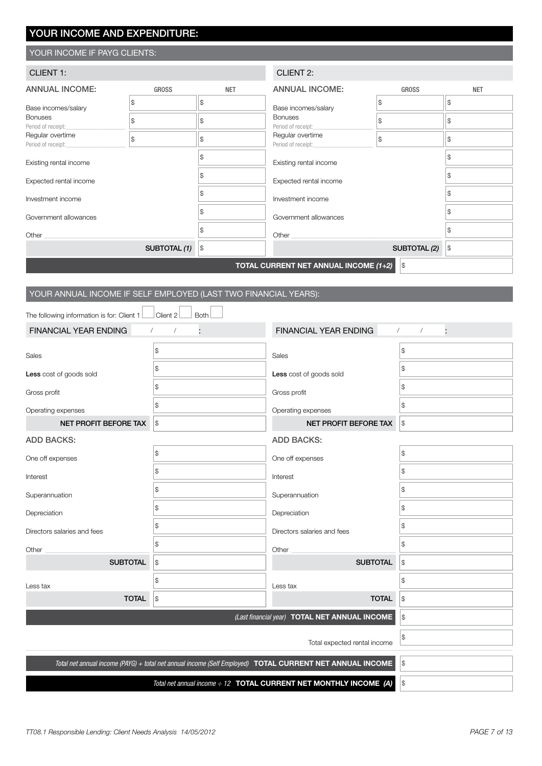# YOUR INCOME AND EXPENDITURE:

## YOUR INCOME IF PAYG CLIENTS:

| <b>CLIENT 1:</b>                       |                                                     | <b>CLIENT 2:</b> |                                        |              |               |
|----------------------------------------|-----------------------------------------------------|------------------|----------------------------------------|--------------|---------------|
| <b>ANNUAL INCOME:</b>                  | <b>GROSS</b>                                        | <b>NET</b>       | <b>ANNUAL INCOME:</b>                  | <b>GROSS</b> | <b>NET</b>    |
| Base incomes/salary                    | $\mathcal{L}$                                       | \$               | Base incomes/salary                    | \$           | $\mathbb{S}$  |
| <b>Bonuses</b><br>Period of receipt:   | $\mathcal{S}$                                       | \$               | <b>Bonuses</b><br>Period of receipt:   | \$           | $\mathbb{S}$  |
| Regular overtime<br>Period of receipt: | $\mathcal{S}$                                       | \$               | Regular overtime<br>Period of receipt: | \$           | \$            |
| Existing rental income                 |                                                     | \$               | Existing rental income                 |              | \$            |
| Expected rental income                 |                                                     |                  | Expected rental income                 |              | \$            |
| Investment income                      |                                                     |                  | Investment income                      |              | \$            |
| Government allowances                  |                                                     |                  | Government allowances                  |              | \$            |
| Other                                  |                                                     | \$               | Other                                  |              | \$            |
|                                        | SUBTOTAL (1)                                        | \$               |                                        | SUBTOTAL (2) | $\mathcal{L}$ |
|                                        | TOTAL CURRENT NET ANNUAL INCOME (1+2)<br>$\sqrt{3}$ |                  |                                        |              |               |

# YOUR ANNUAL INCOME IF SELF EMPLOYED (LAST TWO FINANCIAL YEARS):

| The following information is for: Client 1                                                                      | Client 2<br><b>Both</b>                       |                                               |                                               |
|-----------------------------------------------------------------------------------------------------------------|-----------------------------------------------|-----------------------------------------------|-----------------------------------------------|
| FINANCIAL YEAR ENDING                                                                                           |                                               | FINANCIAL YEAR ENDING                         | t<br>$\sqrt{2}$<br>$\prime$                   |
| Sales                                                                                                           | \$                                            | Sales                                         | \$                                            |
| Less cost of goods sold                                                                                         | \$                                            | Less cost of goods sold                       | \$                                            |
| Gross profit                                                                                                    | \$                                            | Gross profit                                  | \$                                            |
| Operating expenses                                                                                              | \$                                            | Operating expenses                            | \$                                            |
| NET PROFIT BEFORE TAX                                                                                           | $\mathcal{S}$                                 | NET PROFIT BEFORE TAX                         | \$                                            |
| <b>ADD BACKS:</b>                                                                                               |                                               | <b>ADD BACKS:</b>                             |                                               |
| One off expenses                                                                                                | \$                                            | One off expenses                              | \$                                            |
| Interest                                                                                                        | \$                                            | Interest                                      | \$                                            |
| Superannuation                                                                                                  | \$                                            | Superannuation                                | \$                                            |
| Depreciation                                                                                                    | \$                                            | Depreciation                                  | \$                                            |
| Directors salaries and fees                                                                                     | \$                                            | Directors salaries and fees                   | \$                                            |
| Other                                                                                                           | \$                                            | Other                                         | \$                                            |
| <b>SUBTOTAL</b>                                                                                                 | $\, \, \raisebox{12pt}{$\scriptstyle \circ$}$ | <b>SUBTOTAL</b>                               | \$                                            |
| Less tax                                                                                                        | \$                                            | Less tax                                      | \$                                            |
| <b>TOTAL</b>                                                                                                    | $\sqrt{3}$                                    | <b>TOTAL</b>                                  | $\, \, \raisebox{12pt}{$\scriptstyle \circ$}$ |
|                                                                                                                 |                                               | (Last financial year) TOTAL NET ANNUAL INCOME | \$                                            |
|                                                                                                                 | \$                                            |                                               |                                               |
| Total net annual income (PAYG) + total net annual income (Self Employed) <b>TOTAL CURRENT NET ANNUAL INCOME</b> | $\$$                                          |                                               |                                               |
|                                                                                                                 | \$                                            |                                               |                                               |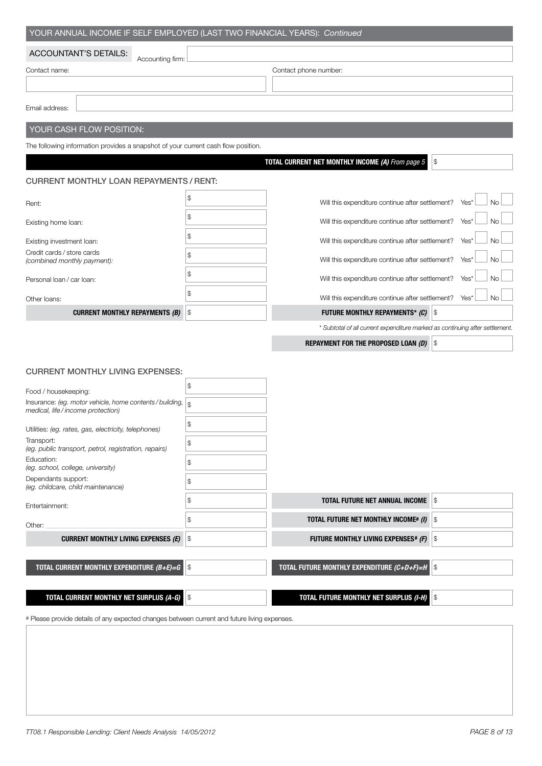| YOUR ANNUAL INCOME IF SELF EMPLOYED (LAST TWO FINANCIAL YEARS): Continued                               |                                                                              |                                                   |
|---------------------------------------------------------------------------------------------------------|------------------------------------------------------------------------------|---------------------------------------------------|
| <b>ACCOUNTANT'S DETAILS:</b>                                                                            |                                                                              |                                                   |
| Accounting firm:<br>Contact name:                                                                       | Contact phone number:                                                        |                                                   |
| Email address:                                                                                          |                                                                              |                                                   |
| YOUR CASH FLOW POSITION:                                                                                |                                                                              |                                                   |
| The following information provides a snapshot of your current cash flow position.                       |                                                                              |                                                   |
|                                                                                                         | TOTAL CURRENT NET MONTHLY INCOME (A) From page 5                             | $\, \, \raisebox{-1.5pt}{\text{\circle*{1.5}}}\,$ |
| <b>CURRENT MONTHLY LOAN REPAYMENTS / RENT:</b>                                                          |                                                                              |                                                   |
| Rent:                                                                                                   | \$<br>Will this expenditure continue after settlement?                       | Yes*<br>No                                        |
| Existing home loan:                                                                                     | \$<br>Will this expenditure continue after settlement?                       | Yes*<br>No                                        |
| Existing investment loan:                                                                               | \$<br>Will this expenditure continue after settlement?                       | Yes*<br><b>No</b>                                 |
| Credit cards / store cards<br>(combined monthly payment):                                               | \$<br>Will this expenditure continue after settlement?                       | Yes*<br>No                                        |
| Personal loan / car loan:                                                                               | \$<br>Will this expenditure continue after settlement?                       | Yes*<br>No                                        |
| Other loans:                                                                                            | \$<br>Will this expenditure continue after settlement?                       | <b>No</b><br>Yes*                                 |
| <b>CURRENT MONTHLY REPAYMENTS (B)</b>                                                                   | \$                                                                           |                                                   |
|                                                                                                         | * Subtotal of all current expenditure marked as continuing after settlement. |                                                   |
|                                                                                                         | <b>REPAYMENT FOR THE PROPOSED LOAN (D) \$</b>                                |                                                   |
|                                                                                                         |                                                                              |                                                   |
| <b>CURRENT MONTHLY LIVING EXPENSES:</b>                                                                 |                                                                              |                                                   |
| Food / housekeeping:                                                                                    | \$                                                                           |                                                   |
| Insurance: (eg. motor vehicle, home contents / building, $\vert$ \$<br>medical, life/income protection) |                                                                              |                                                   |
| Utilities: (eg. rates, gas, electricity, telephones)                                                    | \$                                                                           |                                                   |
| Transport:<br>(eg. public transport, petrol, registration, repairs)                                     | \$                                                                           |                                                   |
| Education:<br>(eg. school, college, university)                                                         | \$                                                                           |                                                   |

| Dependants support:<br>(eg. childcare, child maintenance) |                                                     |  |
|-----------------------------------------------------------|-----------------------------------------------------|--|
| Entertainment:                                            | <b>TOTAL FUTURE NET ANNUAL INCOME</b> S             |  |
| Other:                                                    | \$<br><b>TOTAL FUTURE NET MONTHLY INCOME# (I) S</b> |  |
| <b>CURRENT MONTHLY LIVING EXPENSES (E)</b> S              | <b>FUTURE MONTHLY LIVING EXPENSES# (F) S</b>        |  |
|                                                           |                                                     |  |
| TOTAL CURRENT MONTHLY EXPENDITURE $(B+E)=G$ S             | TOTAL FUTURE MONTHLY EXPENDITURE $(C+D+F)=H$ S      |  |
|                                                           |                                                     |  |
| <b>TOTAL CURRENT MONTHLY NET SURPLUS (A-G)</b>            | <b>TOTAL FUTURE MONTHLY NET SURPLUS (I-H)</b> S     |  |
|                                                           |                                                     |  |

# Please provide details of any expected changes between current and future living expenses.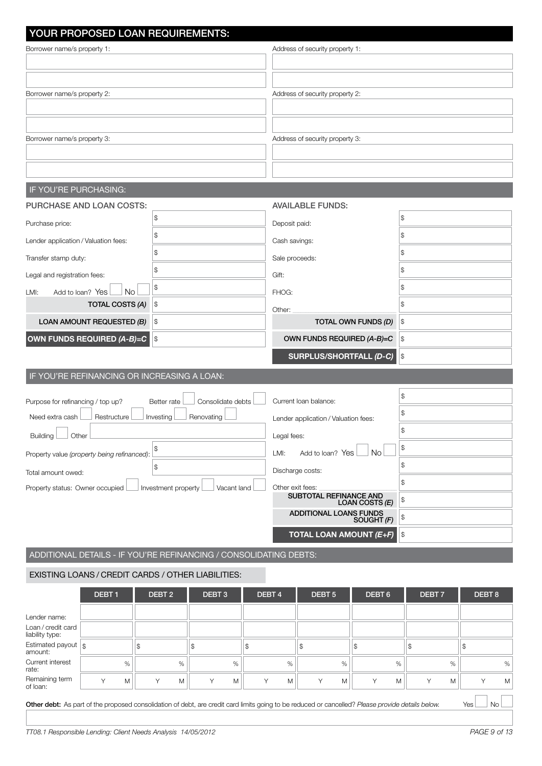| YOUR PROPOSED LOAN REQUIREMENTS:                                  |                                    |                                                 |                     |  |  |  |  |
|-------------------------------------------------------------------|------------------------------------|-------------------------------------------------|---------------------|--|--|--|--|
| Borrower name/s property 1:                                       |                                    | Address of security property 1:                 |                     |  |  |  |  |
|                                                                   |                                    |                                                 |                     |  |  |  |  |
|                                                                   |                                    |                                                 |                     |  |  |  |  |
| Borrower name/s property 2:                                       |                                    | Address of security property 2:                 |                     |  |  |  |  |
|                                                                   |                                    |                                                 |                     |  |  |  |  |
|                                                                   |                                    |                                                 |                     |  |  |  |  |
| Borrower name/s property 3:                                       |                                    | Address of security property 3:                 |                     |  |  |  |  |
|                                                                   |                                    |                                                 |                     |  |  |  |  |
|                                                                   |                                    |                                                 |                     |  |  |  |  |
| IF YOU'RE PURCHASING:                                             |                                    |                                                 |                     |  |  |  |  |
| PURCHASE AND LOAN COSTS:                                          |                                    | <b>AVAILABLE FUNDS:</b>                         |                     |  |  |  |  |
| Purchase price:                                                   | \$                                 | Deposit paid:                                   | \$                  |  |  |  |  |
| Lender application / Valuation fees:                              | \$                                 | Cash savings:                                   | \$                  |  |  |  |  |
| Transfer stamp duty:                                              | \$                                 | Sale proceeds:                                  | \$                  |  |  |  |  |
| Legal and registration fees:                                      | \$                                 | Gift:                                           | \$                  |  |  |  |  |
| <b>No</b><br>Add to loan? Yes<br>LMI:                             | \$                                 | FHOG:                                           | \$                  |  |  |  |  |
| TOTAL COSTS (A)                                                   | $\frac{1}{2}$                      | Other:                                          | \$                  |  |  |  |  |
| LOAN AMOUNT REQUESTED (B)                                         | \$                                 | TOTAL OWN FUNDS (D)                             | $\frac{1}{2}$       |  |  |  |  |
| OWN FUNDS REQUIRED (A-B)=C \S                                     |                                    | OWN FUNDS REQUIRED (A-B)=C                      | $\vert \mathcal{L}$ |  |  |  |  |
|                                                                   |                                    | SURPLUS/SHORTFALL (D-C)                         | $\vert \mathcal{L}$ |  |  |  |  |
| IF YOU'RE REFINANCING OR INCREASING A LOAN:                       |                                    |                                                 |                     |  |  |  |  |
| Purpose for refinancing / top up?                                 | Consolidate debts<br>Better rate   | Current Ioan balance:                           | \$                  |  |  |  |  |
| Need extra cash<br>Restructure                                    | Investing<br>Renovating            | Lender application / Valuation fees:            | \$                  |  |  |  |  |
| Building   Other                                                  |                                    | Legal fees:                                     | \$                  |  |  |  |  |
| Property value (property being refinanced):                       | \$                                 | <b>No</b><br>LMI:<br>Add to loan? Yes           | \$                  |  |  |  |  |
|                                                                   | \$                                 | Discharge costs:                                | \$                  |  |  |  |  |
| Total amount owed:<br>Property status: Owner occupied             |                                    | Other exit fees:                                | \$                  |  |  |  |  |
|                                                                   | Vacant land<br>Investment property | <b>SUBTOTAL REFINANCE AND</b><br>LOAN COSTS (E) | \$                  |  |  |  |  |
|                                                                   |                                    | <b>ADDITIONAL LOANS FUNDS</b><br>SOUGHT (F)     | \$                  |  |  |  |  |
|                                                                   |                                    | <b>TOTAL LOAN AMOUNT (E+F)</b>                  | \$                  |  |  |  |  |
| ADDITIONAL DETAILS - IF YOU'RE REFINANCING / CONSOLIDATING DEBTS: |                                    |                                                 |                     |  |  |  |  |
|                                                                   |                                    |                                                 |                     |  |  |  |  |

## EXISTING LOANS / Credit cards / other LIABILITIES:

|                                                       | DEBT <sub>1</sub> |      | DEBT <sub>2</sub> | DEBT <sub>3</sub> |   | DEBT <sub>4</sub> |   | DEBT <sub>5</sub> |   | DEBT <sub>6</sub> |   | DEBT <sub>7</sub> |      | DEBT <sub>8</sub> |   |
|-------------------------------------------------------|-------------------|------|-------------------|-------------------|---|-------------------|---|-------------------|---|-------------------|---|-------------------|------|-------------------|---|
| Lender name:<br>Loan / credit card<br>liability type: |                   |      |                   |                   |   |                   |   |                   |   |                   |   |                   |      |                   |   |
| Estimated payout $\frac{1}{3}$<br>amount:             |                   |      |                   |                   |   | \$.               |   | \$                |   |                   |   |                   |      |                   |   |
| Current interest<br>rate:                             |                   | $\%$ | %                 |                   | % |                   | % |                   | % |                   | % |                   | $\%$ |                   | % |
| Remaining term<br>of loan:                            | $\checkmark$      | M    | M<br>Υ            | $\checkmark$      | M | $\checkmark$      | M |                   | M |                   | M |                   | M    | $\checkmark$      | M |

Other debt: As part of the proposed consolidation of debt, are credit card limits going to be reduced or cancelled? Please provide details below. Yes No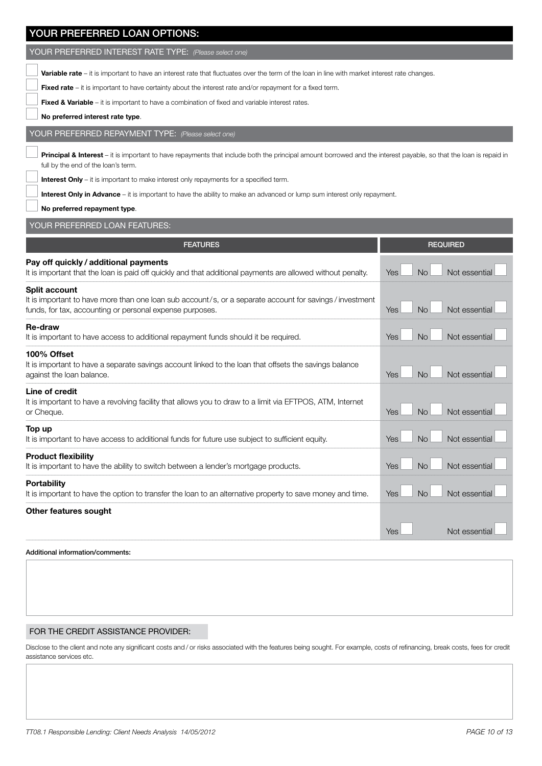| YOUR PREFERRED LOAN OPTIONS:                                                                                                                                                                                                                                                                                                                                                                                                                                         |                                          |
|----------------------------------------------------------------------------------------------------------------------------------------------------------------------------------------------------------------------------------------------------------------------------------------------------------------------------------------------------------------------------------------------------------------------------------------------------------------------|------------------------------------------|
| YOUR PREFERRED INTEREST RATE TYPE: (Please select one)                                                                                                                                                                                                                                                                                                                                                                                                               |                                          |
| <b>Variable rate</b> – it is important to have an interest rate that fluctuates over the term of the loan in line with market interest rate changes.<br><b>Fixed rate</b> $-$ it is important to have certainty about the interest rate and/or repayment for a fixed term.<br><b>Fixed &amp; Variable</b> – it is important to have a combination of fixed and variable interest rates.<br>No preferred interest rate type.                                          |                                          |
| YOUR PREFERRED REPAYMENT TYPE: (Please select one)                                                                                                                                                                                                                                                                                                                                                                                                                   |                                          |
| Principal & Interest - it is important to have repayments that include both the principal amount borrowed and the interest payable, so that the loan is repaid in<br>full by the end of the loan's term.<br><b>Interest Only</b> – it is important to make interest only repayments for a specified term.<br>Interest Only in Advance - it is important to have the ability to make an advanced or lump sum interest only repayment.<br>No preferred repayment type. |                                          |
| YOUR PREFERRED LOAN FEATURES:                                                                                                                                                                                                                                                                                                                                                                                                                                        |                                          |
| <b>FEATURES</b>                                                                                                                                                                                                                                                                                                                                                                                                                                                      | <b>REQUIRED</b>                          |
| Pay off quickly / additional payments<br>It is important that the loan is paid off quickly and that additional payments are allowed without penalty.                                                                                                                                                                                                                                                                                                                 | <b>No</b><br><b>Yes</b><br>Not essential |
| <b>Split account</b><br>It is important to have more than one loan sub account/s, or a separate account for savings/investment<br>funds, for tax, accounting or personal expense purposes.                                                                                                                                                                                                                                                                           | Yes<br><b>No</b><br>Not essential        |
| <b>Re-draw</b><br>It is important to have access to additional repayment funds should it be required.                                                                                                                                                                                                                                                                                                                                                                | Not essential<br>Yes<br><b>No</b>        |
| 100% Offset<br>It is important to have a separate savings account linked to the loan that offsets the savings balance<br>against the loan balance.                                                                                                                                                                                                                                                                                                                   | <b>No</b><br>Not essential<br><b>Yes</b> |
| Line of credit<br>It is important to have a revolving facility that allows you to draw to a limit via EFTPOS, ATM, Internet<br>or Cheque.                                                                                                                                                                                                                                                                                                                            | <b>No</b><br>Yes<br>Not essential        |
| Top up<br>It is important to have access to additional funds for future use subject to sufficient equity.                                                                                                                                                                                                                                                                                                                                                            | Not essential<br>Yes<br><b>No</b>        |
| <b>Product flexibility</b><br>It is important to have the ability to switch between a lender's mortgage products.                                                                                                                                                                                                                                                                                                                                                    | <b>No</b><br>Not essential<br>Yes        |
| <b>Portability</b><br>It is important to have the option to transfer the loan to an alternative property to save money and time.                                                                                                                                                                                                                                                                                                                                     | <b>No</b><br>Not essential<br>Yes        |
| Other features sought                                                                                                                                                                                                                                                                                                                                                                                                                                                | Not essential<br><b>Yes</b>              |
| Additional information/comments:                                                                                                                                                                                                                                                                                                                                                                                                                                     |                                          |

### FOR THE CREDIT ASSISTANCE PROVIDER:

Disclose to the client and note any significant costs and / or risks associated with the features being sought. For example, costs of refinancing, break costs, fees for credit assistance services etc.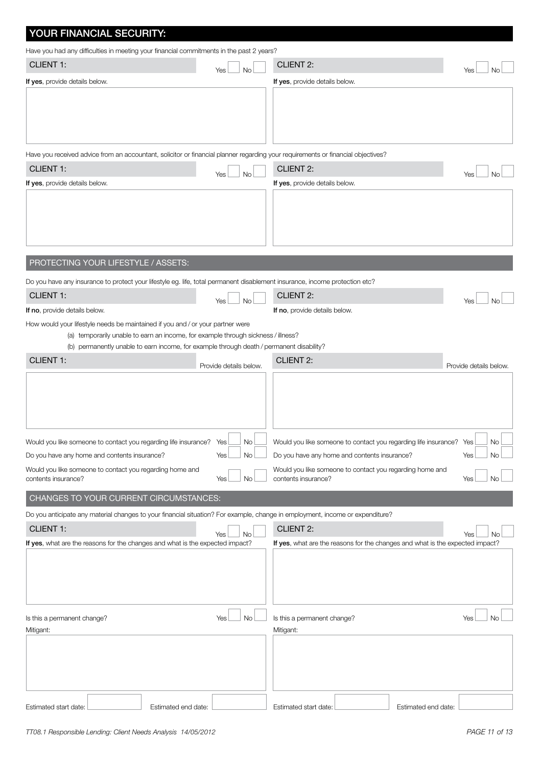| YOUR FINANCIAL SECURITY:                                                                                                                                                      |                        |           |                                                                                 |                        |
|-------------------------------------------------------------------------------------------------------------------------------------------------------------------------------|------------------------|-----------|---------------------------------------------------------------------------------|------------------------|
| Have you had any difficulties in meeting your financial commitments in the past 2 years?                                                                                      |                        |           |                                                                                 |                        |
| <b>CLIENT 1:</b>                                                                                                                                                              | Yes                    | <b>No</b> | <b>CLIENT 2:</b>                                                                | Yes                    |
| If yes, provide details below.                                                                                                                                                |                        |           | If yes, provide details below.                                                  |                        |
|                                                                                                                                                                               |                        |           |                                                                                 |                        |
|                                                                                                                                                                               |                        |           |                                                                                 |                        |
| Have you received advice from an accountant, solicitor or financial planner regarding your requirements or financial objectives?                                              |                        |           |                                                                                 |                        |
| <b>CLIENT 1:</b>                                                                                                                                                              | Yes                    | <b>No</b> | <b>CLIENT 2:</b>                                                                | Yes<br>No              |
| If yes, provide details below.                                                                                                                                                |                        |           | If yes, provide details below.                                                  |                        |
|                                                                                                                                                                               |                        |           |                                                                                 |                        |
| PROTECTING YOUR LIFESTYLE / ASSETS:                                                                                                                                           |                        |           |                                                                                 |                        |
| Do you have any insurance to protect your lifestyle eg. life, total permanent disablement insurance, income protection etc?                                                   |                        |           |                                                                                 |                        |
| <b>CLIENT 1:</b>                                                                                                                                                              | Yes                    | <b>No</b> | <b>CLIENT 2:</b>                                                                | Yes                    |
| If no, provide details below.                                                                                                                                                 |                        |           | If no, provide details below.                                                   |                        |
| How would your lifestyle needs be maintained if you and / or your partner were                                                                                                |                        |           |                                                                                 |                        |
| (a) temporarily unable to earn an income, for example through sickness / illness?<br>(b) permanently unable to earn income, for example through death / permanent disability? |                        |           |                                                                                 |                        |
| <b>CLIENT 1:</b>                                                                                                                                                              |                        |           | <b>CLIENT 2:</b>                                                                |                        |
|                                                                                                                                                                               | Provide details below. |           |                                                                                 | Provide details below. |
|                                                                                                                                                                               |                        |           |                                                                                 |                        |
| Would you like someone to contact you regarding life insurance? Yes                                                                                                           |                        | No        | Would you like someone to contact you regarding life insurance? Yes             | No                     |
| Do you have any home and contents insurance?                                                                                                                                  | Yes                    | No        | Do you have any home and contents insurance?                                    | No<br>Yes              |
| Would you like someone to contact you regarding home and<br>contents insurance?                                                                                               | Yes                    | No        | Would you like someone to contact you regarding home and<br>contents insurance? | Yes<br>No              |
| CHANGES TO YOUR CURRENT CIRCUMSTANCES:                                                                                                                                        |                        |           |                                                                                 |                        |
| Do you anticipate any material changes to your financial situation? For example, change in employment, income or expenditure?                                                 |                        |           |                                                                                 |                        |
| <b>CLIENT 1:</b>                                                                                                                                                              | Yes                    | <b>No</b> | <b>CLIENT 2:</b>                                                                | Yes                    |
| If yes, what are the reasons for the changes and what is the expected impact?                                                                                                 |                        |           | If yes, what are the reasons for the changes and what is the expected impact?   |                        |
|                                                                                                                                                                               |                        |           |                                                                                 |                        |
|                                                                                                                                                                               |                        |           |                                                                                 |                        |
|                                                                                                                                                                               |                        |           |                                                                                 |                        |
| Is this a permanent change?<br>Mitigant:                                                                                                                                      | Yes                    | <b>No</b> | Is this a permanent change?<br>Mitigant:                                        | <b>No</b><br>Yes       |
|                                                                                                                                                                               |                        |           |                                                                                 |                        |
|                                                                                                                                                                               |                        |           |                                                                                 |                        |
|                                                                                                                                                                               |                        |           |                                                                                 |                        |
|                                                                                                                                                                               |                        |           |                                                                                 |                        |
| Estimated start date:                                                                                                                                                         | Estimated end date:    |           | Estimated start date:<br>Estimated end date:                                    |                        |